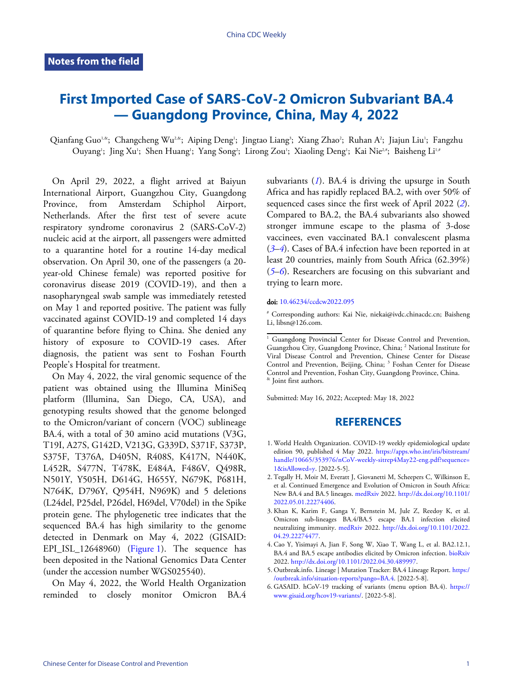## **First Imported Case of SARS-CoV-2 Omicron Subvariant BA.4 — Guangdong Province, China, May 4, 2022**

Qianfang Guo<sup>1,&</sup>; Changcheng Wu<sup>2,&</sup>; Aiping Deng'; Jingtao Liang<sup>3</sup>; Xiang Zhao<sup>2</sup>; Ruhan A<sup>2</sup>; Jiajun Liu'; Fangzhu Ouyang'; Jing Xu'; Shen Huang'; Yang Song'; Lirong Zou'; Xiaoling Deng'; Kai Nie25; Baisheng Li<sup>1,4</sup>

On April 29, 2022, a flight arrived at Baiyun International Airport, Guangzhou City, Guangdong Province, from Amsterdam Schiphol Airport, Netherlands. After the first test of severe acute respiratory syndrome coronavirus 2 (SARS-CoV-2) nucleic acid at the airport, all passengers were admitted to a quarantine hotel for a routine 14-day medical observation. On April 30, one of the passengers (a 20 year-old Chinese female) was reported positive for coronavirus disease 2019 (COVID-19), and then a nasopharyngeal swab sample was immediately retested on May 1 and reported positive. The patient was fully vaccinated against COVID-19 and completed 14 days of quarantine before flying to China. She denied any history of exposure to COVID-19 cases. After diagnosis, the patient was sent to Foshan Fourth People's Hospital for treatment.

On May 4, 2022, the viral genomic sequence of the patient was obtained using the Illumina MiniSeq platform (Illumina, San Diego, CA, USA), and genotyping results showed that the genome belonged to the Omicron/variant of concern (VOC) sublineage BA.4, with a total of 30 amino acid mutations (V3G, T19I, A27S, G142D, V213G, G339D, S371F, S373P, S375F, T376A, D405N, R408S, K417N, N440K, L452R, S477N, T478K, E484A, F486V, Q498R, N501Y, Y505H, D614G, H655Y, N679K, P681H, N764K, D796Y, Q954H, N969K) and 5 deletions (L24del, P25del, P26del, H69del, V70del) in the Spike protein gene. The phylogenetic tree indicates that the sequenced BA.4 has high similarity to the genome detected in Denmark [on Ma](#page-1-0)y 4, 2022 (GISAID: EPI\_ISL\_12648960) [\(Figure 1\)](#page-1-0). The sequence has been deposited in the National Genomics Data Center (under the accession number WGS025540).

On May 4, 2022, the World Health Organization reminded [to](#page-0-0) closely monitor Omicron BA.4

subvariants ([1](#page-0-0)). BA.4 is driving the upsurge in South Africa and has rapidly replaced BA.2, with over 50% of [seq](#page-0-1)[ue](#page-0-2)nced cases since the first week of April 2022 (*[2](#page-0-5)*). Compared to BA.2, the BA.4 subvariants also showed [str](#page-0-3)[on](#page-0-4)ger immune escape to the plasma of 3-dose vaccinees, even vaccinated BA.1 convalescent plasma (*[3](#page-0-1)*–*[4](#page-0-2)*). Cases of BA.4 infection have been reported in at lea[st 20 countries, main](https://doi.org/10.46234/ccdcw2022.095)ly from South Africa (62.39%) (*[5](#page-0-3)*–*[6](#page-0-4)*). Researchers are focusing on this subvariant and trying to learn more.

## doi: [10.46234/ccdcw2022.095](https://doi.org/10.46234/ccdcw2022.095)

# Corresponding authors: Kai Nie, niekai@ivdc.chinacdc.cn; Baisheng Li, libsn@126.com.

Submitted: May 16, 2022; Accepted: May 18, 2022

## **[REFERENCES](https://apps.who.int/iris/bitstream/handle/10665/353976/nCoV-weekly-sitrep4May22-eng.pdf?sequence=1&isAllowed=y)**

- <span id="page-0-0"></span>World Health Organization. COVID-19 weekly epidemiological update 1. edition 90, published 4 May [2022.](https://doi.org/10.1101/2022.05.01.22274406) [https://apps.who.int/iris/bitstream/](https://apps.who.int/iris/bitstream/handle/10665/353976/nCoV-weekly-sitrep4May22-eng.pdf?sequence=1&isAllowed=y) [handle/10665/353976/nCoV-weekly-sitrep4May22-eng.pdf?sequence=](https://apps.who.int/iris/bitstream/handle/10665/353976/nCoV-weekly-sitrep4May22-eng.pdf?sequence=1&isAllowed=y) [1&isAllowed=y.](https://apps.who.int/iris/bitstream/handle/10665/353976/nCoV-weekly-sitrep4May22-eng.pdf?sequence=1&isAllowed=y) [2022-5-5].
- <span id="page-0-5"></span>2. Tegally H, Moir M, Everatt J, Giovanetti M, Scheepers C, Wilkinson E, et al. Continued Emerg[ence and](https://doi.org/10.1101/2022.04.29.22274477) Evolut[ion of Omicron in South Africa:](https://doi.org/10.1101/2022.04.29.22274477) [New BA.4 and B](https://doi.org/10.1101/2022.04.29.22274477)A.5 lineages. [medRxiv](https://doi.org/10.1101/2022.05.01.22274406) 2022. [http://dx.doi.org/10.1101/](https://doi.org/10.1101/2022.05.01.22274406) [2022.05.01.22274406.](https://doi.org/10.1101/2022.05.01.22274406)
- <span id="page-0-1"></span>3.Khan K, Karim F, Ganga Y, Bernstein M, Jule Z, Reedoy K, et al. Omic[ron sub-lineages BA.4/BA.5 escape BA.1](https://doi.org/10.1101/2022.04.30.489997) infection elicited neutralizing immunity. [medRxiv](https://doi.org/10.1101/2022.04.29.22274477) 2022. [http://dx.doi.org/10.1101/2022](https://doi.org/10.1101/2022.04.29.22274477)[.](https://outbreak.info/situation-reports?pango=BA.4) [04.29.22274477](https://doi.org/10.1101/2022.04.29.22274477)[.](https://outbreak.info/situation-reports?pango=BA.4)
- <span id="page-0-2"></span>Cao Y, Yisimayi A, Jian F, Song W, Xiao T, Wang L, et al. B[A2.12.1,](https://www.gisaid.org/hcov19-variants/) 4. [BA.4 and BA.5 escape antibodies](https://www.gisaid.org/hcov19-variants/) elicited by Omicron infection. [bioRxiv](https://doi.org/10.1101/2022.04.30.489997) 2022. [http://dx.doi.org/10.1101/2022.04.30.489997.](https://doi.org/10.1101/2022.04.30.489997)
- <span id="page-0-3"></span>5. Outbreak.info. Lineage | Mutation Tracker: BA.4 Lineage Report. [https:/](https://outbreak.info/situation-reports?pango=BA.4) [/outbreak.info/situation-reports?pango=BA.4](https://outbreak.info/situation-reports?pango=BA.4). [2022-5-8].
- <span id="page-0-4"></span>6. GASAID. hCoV-19 tracking of variants (menu option BA.4). [https://](https://www.gisaid.org/hcov19-variants/) [www.gisaid.org/hcov19-variants/](https://www.gisaid.org/hcov19-variants/). [2022-5-8].

<sup>&</sup>lt;sup>1</sup> Guangdong Provincial Center for Disease Control and Prevention, Guangzhou City, Guangdong Province, China; <sup>2</sup> National Institute for Viral Disease Control and Prevention, Chinese Center for Disease Control and Prevention, Beijing, China; <sup>3</sup> Foshan Center for Disease Control and Prevention, Foshan City, Guangdong Province, China. & Joint first authors.